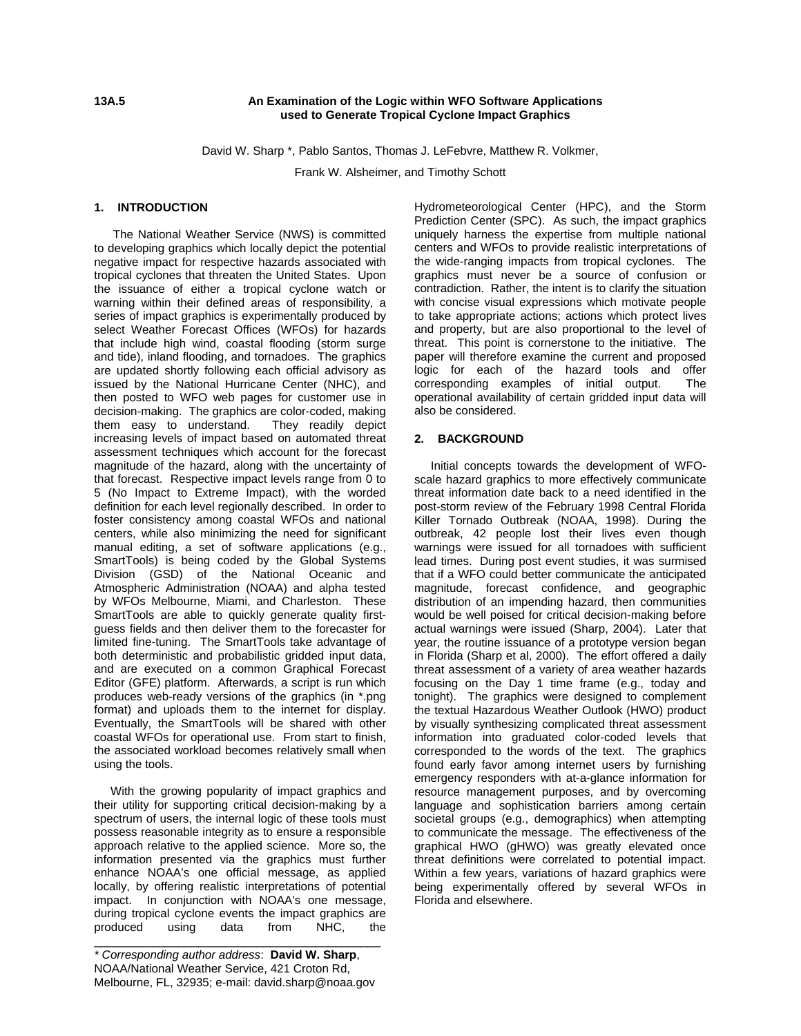### **13A.5 An Examination of the Logic within WFO Software Applications used to Generate Tropical Cyclone Impact Graphics**

David W. Sharp \*, Pablo Santos, Thomas J. LeFebvre, Matthew R. Volkmer,

Frank W. Alsheimer, and Timothy Schott

## **1. INTRODUCTION**

The National Weather Service (NWS) is committed to developing graphics which locally depict the potential negative impact for respective hazards associated with tropical cyclones that threaten the United States. Upon the issuance of either a tropical cyclone watch or warning within their defined areas of responsibility, a series of impact graphics is experimentally produced by select Weather Forecast Offices (WFOs) for hazards that include high wind, coastal flooding (storm surge and tide), inland flooding, and tornadoes. The graphics are updated shortly following each official advisory as issued by the National Hurricane Center (NHC), and then posted to WFO web pages for customer use in decision-making. The graphics are color-coded, making them easy to understand. They readily depict increasing levels of impact based on automated threat assessment techniques which account for the forecast magnitude of the hazard, along with the uncertainty of that forecast. Respective impact levels range from 0 to 5 (No Impact to Extreme Impact), with the worded definition for each level regionally described. In order to foster consistency among coastal WFOs and national centers, while also minimizing the need for significant manual editing, a set of software applications (e.g., SmartTools) is being coded by the Global Systems Division (GSD) of the National Oceanic and Atmospheric Administration (NOAA) and alpha tested by WFOs Melbourne, Miami, and Charleston. These SmartTools are able to quickly generate quality firstguess fields and then deliver them to the forecaster for limited fine-tuning. The SmartTools take advantage of both deterministic and probabilistic gridded input data, and are executed on a common Graphical Forecast Editor (GFE) platform. Afterwards, a script is run which produces web-ready versions of the graphics (in \*.png format) and uploads them to the internet for display. Eventually, the SmartTools will be shared with other coastal WFOs for operational use. From start to finish, the associated workload becomes relatively small when using the tools.

 With the growing popularity of impact graphics and their utility for supporting critical decision-making by a spectrum of users, the internal logic of these tools must possess reasonable integrity as to ensure a responsible approach relative to the applied science. More so, the information presented via the graphics must further enhance NOAA's one official message, as applied locally, by offering realistic interpretations of potential impact. In conjunction with NOAA's one message, during tropical cyclone events the impact graphics are<br>produced using data from NHC. the produced using data from NHC, the

\_\_\_\_\_\_\_\_\_\_\_\_\_\_\_\_\_\_\_\_\_\_\_\_\_\_\_\_\_\_\_\_\_\_\_\_\_\_\_\_\_\_\_\_

Hydrometeorological Center (HPC), and the Storm Prediction Center (SPC). As such, the impact graphics uniquely harness the expertise from multiple national centers and WFOs to provide realistic interpretations of the wide-ranging impacts from tropical cyclones. The graphics must never be a source of confusion or contradiction. Rather, the intent is to clarify the situation with concise visual expressions which motivate people to take appropriate actions; actions which protect lives and property, but are also proportional to the level of threat. This point is cornerstone to the initiative. The paper will therefore examine the current and proposed logic for each of the hazard tools and offer corresponding examples of initial output. The operational availability of certain gridded input data will also be considered.

#### **2. BACKGROUND**

 Initial concepts towards the development of WFOscale hazard graphics to more effectively communicate threat information date back to a need identified in the post-storm review of the February 1998 Central Florida Killer Tornado Outbreak (NOAA, 1998). During the outbreak, 42 people lost their lives even though warnings were issued for all tornadoes with sufficient lead times. During post event studies, it was surmised that if a WFO could better communicate the anticipated magnitude, forecast confidence, and geographic distribution of an impending hazard, then communities would be well poised for critical decision-making before actual warnings were issued (Sharp, 2004). Later that year, the routine issuance of a prototype version began in Florida (Sharp et al, 2000). The effort offered a daily threat assessment of a variety of area weather hazards focusing on the Day 1 time frame (e.g., today and tonight). The graphics were designed to complement the textual Hazardous Weather Outlook (HWO) product by visually synthesizing complicated threat assessment information into graduated color-coded levels that corresponded to the words of the text. The graphics found early favor among internet users by furnishing emergency responders with at-a-glance information for resource management purposes, and by overcoming language and sophistication barriers among certain societal groups (e.g., demographics) when attempting to communicate the message. The effectiveness of the graphical HWO (gHWO) was greatly elevated once threat definitions were correlated to potential impact. Within a few years, variations of hazard graphics were being experimentally offered by several WFOs in Florida and elsewhere.

*<sup>\*</sup> Corresponding author address*: **David W. Sharp**, NOAA/National Weather Service, 421 Croton Rd, Melbourne, FL, 32935; e-mail: david.sharp@noaa.gov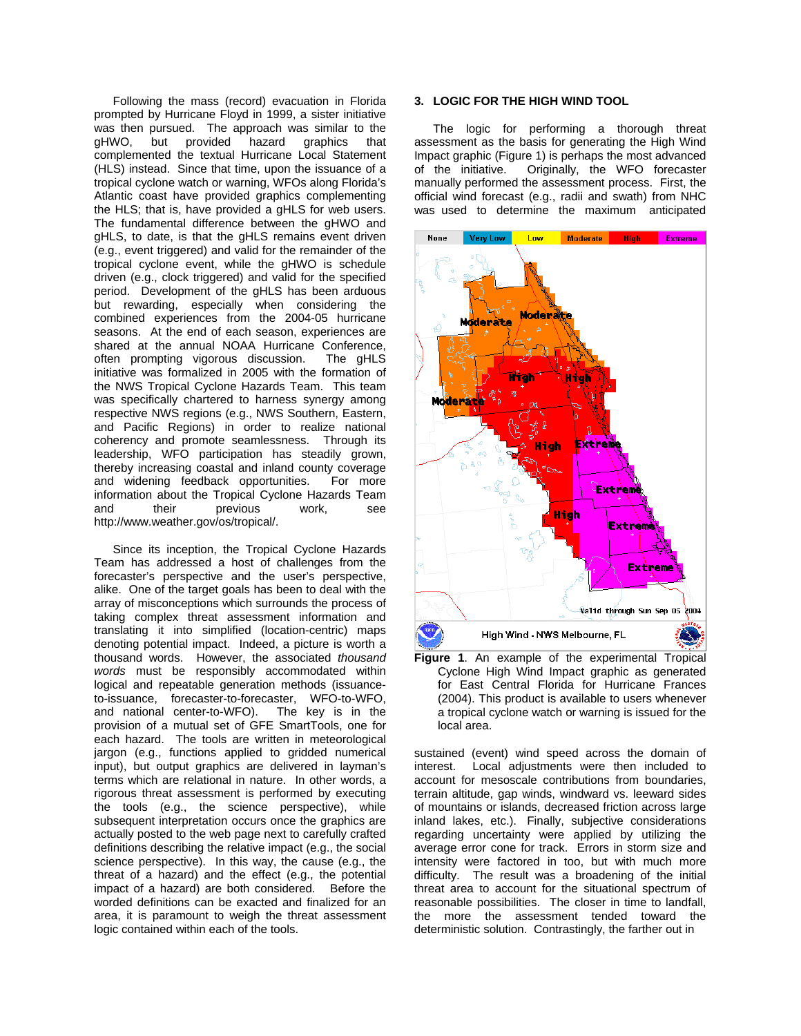Following the mass (record) evacuation in Florida prompted by Hurricane Floyd in 1999, a sister initiative was then pursued. The approach was similar to the gHWO, but provided hazard graphics that complemented the textual Hurricane Local Statement (HLS) instead. Since that time, upon the issuance of a tropical cyclone watch or warning, WFOs along Florida's Atlantic coast have provided graphics complementing the HLS; that is, have provided a gHLS for web users. The fundamental difference between the gHWO and gHLS, to date, is that the gHLS remains event driven (e.g., event triggered) and valid for the remainder of the tropical cyclone event, while the gHWO is schedule driven (e.g., clock triggered) and valid for the specified period. Development of the gHLS has been arduous but rewarding, especially when considering the combined experiences from the 2004-05 hurricane seasons. At the end of each season, experiences are shared at the annual NOAA Hurricane Conference, often prompting vigorous discussion. The gHLS initiative was formalized in 2005 with the formation of the NWS Tropical Cyclone Hazards Team. This team was specifically chartered to harness synergy among respective NWS regions (e.g., NWS Southern, Eastern, and Pacific Regions) in order to realize national coherency and promote seamlessness. Through its leadership, WFO participation has steadily grown, thereby increasing coastal and inland county coverage and widening feedback opportunities. For more information about the Tropical Cyclone Hazards Team and their previous work, see http://www.weather.gov/os/tropical/.

Since its inception, the Tropical Cyclone Hazards Team has addressed a host of challenges from the forecaster's perspective and the user's perspective, alike. One of the target goals has been to deal with the array of misconceptions which surrounds the process of taking complex threat assessment information and translating it into simplified (location-centric) maps denoting potential impact. Indeed, a picture is worth a thousand words. However, the associated *thousand words* must be responsibly accommodated within logical and repeatable generation methods (issuanceto-issuance, forecaster-to-forecaster, WFO-to-WFO, and national center-to-WFO). provision of a mutual set of GFE SmartTools, one for each hazard. The tools are written in meteorological jargon (e.g., functions applied to gridded numerical input), but output graphics are delivered in layman's terms which are relational in nature. In other words, a rigorous threat assessment is performed by executing the tools (e.g., the science perspective), while subsequent interpretation occurs once the graphics are actually posted to the web page next to carefully crafted definitions describing the relative impact (e.g., the social science perspective). In this way, the cause (e.g., the threat of a hazard) and the effect (e.g., the potential impact of a hazard) are both considered. Before the worded definitions can be exacted and finalized for an area, it is paramount to weigh the threat assessment logic contained within each of the tools.

# **3. LOGIC FOR THE HIGH WIND TOOL**

The logic for performing a thorough threat assessment as the basis for generating the High Wind Impact graphic (Figure 1) is perhaps the most advanced of the initiative. Originally, the WFO forecaster manually performed the assessment process. First, the official wind forecast (e.g., radii and swath) from NHC was used to determine the maximum anticipated



**Figure 1**. An example of the experimental Tropical Cyclone High Wind Impact graphic as generated for East Central Florida for Hurricane Frances (2004). This product is available to users whenever a tropical cyclone watch or warning is issued for the local area.

sustained (event) wind speed across the domain of interest. Local adjustments were then included to account for mesoscale contributions from boundaries, terrain altitude, gap winds, windward vs. leeward sides of mountains or islands, decreased friction across large inland lakes, etc.). Finally, subjective considerations regarding uncertainty were applied by utilizing the average error cone for track. Errors in storm size and intensity were factored in too, but with much more difficulty. The result was a broadening of the initial threat area to account for the situational spectrum of reasonable possibilities. The closer in time to landfall, the more the assessment tended toward the deterministic solution. Contrastingly, the farther out in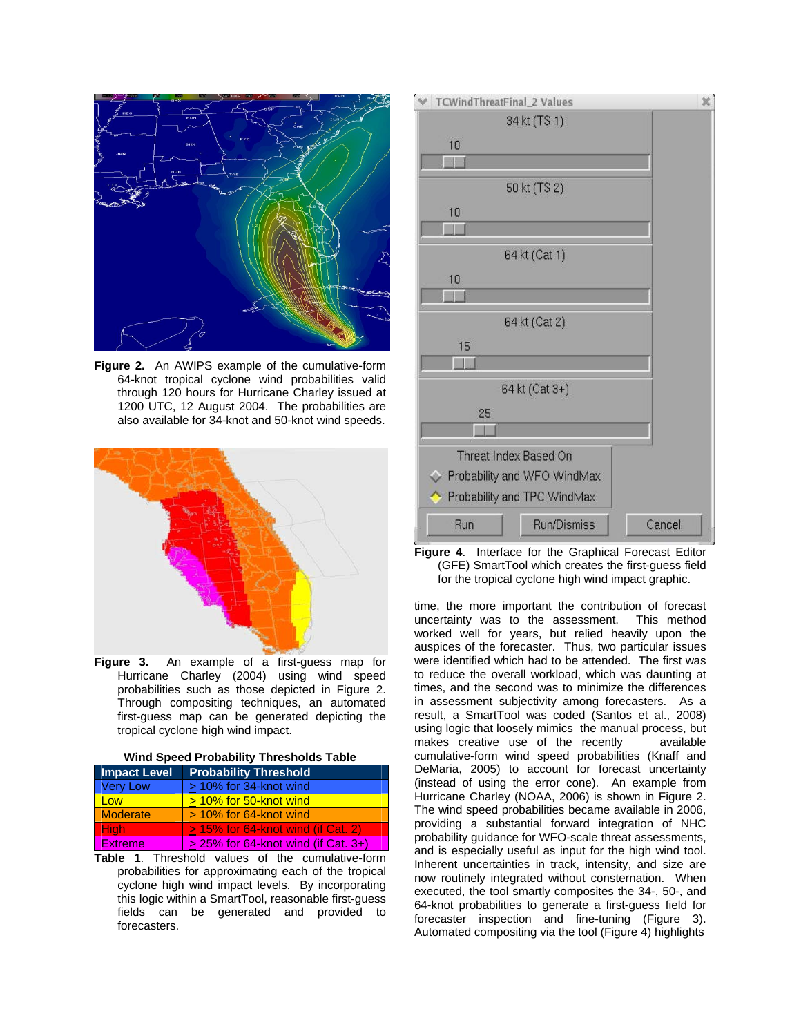

**Figure 2.** An AWIPS example of the cumulative-form 64-knot tropical cyclone wind probabilities valid through 120 hours for Hurricane Charley issued at 1200 UTC, 12 August 2004. The probabilities are also available for 34-knot and 50-knot wind speeds.



**Figure 3.** An example of a first-guess map for Hurricane Charley (2004) using wind speed probabilities such as those depicted in Figure 2. Through compositing techniques, an automated first-guess map can be generated depicting the tropical cyclone high wind impact.

| Wind Speed Probability Thresholds Table |
|-----------------------------------------|
|-----------------------------------------|

| <b>Impact Level</b> | <b>Probability Threshold</b>          |
|---------------------|---------------------------------------|
| <b>Very Low</b>     | > 10% for 34-knot wind                |
| Low                 | > 10% for 50-knot wind                |
| <b>Moderate</b>     | $> 10\%$ for 64-knot wind             |
| <b>High</b>         | $> 15\%$ for 64-knot wind (if Cat. 2) |
| <b>Extreme</b>      | $>$ 25% for 64-knot wind (if Cat. 3+) |

**Table 1**. Threshold values of the cumulative-form probabilities for approximating each of the tropical cyclone high wind impact levels. By incorporating this logic within a SmartTool, reasonable first-guess fields can be generated and provided to forecasters.



**Figure 4**. Interface for the Graphical Forecast Editor (GFE) SmartTool which creates the first-guess field for the tropical cyclone high wind impact graphic.

time, the more important the contribution of forecast uncertainty was to the assessment. This method worked well for years, but relied heavily upon the auspices of the forecaster. Thus, two particular issues were identified which had to be attended. The first was to reduce the overall workload, which was daunting at times, and the second was to minimize the differences in assessment subjectivity among forecasters. As a result, a SmartTool was coded (Santos et al., 2008) using logic that loosely mimics the manual process, but makes creative use of the recently available cumulative-form wind speed probabilities (Knaff and DeMaria, 2005) to account for forecast uncertainty (instead of using the error cone). An example from Hurricane Charley (NOAA, 2006) is shown in Figure 2. The wind speed probabilities became available in 2006, providing a substantial forward integration of NHC probability guidance for WFO-scale threat assessments, and is especially useful as input for the high wind tool. Inherent uncertainties in track, intensity, and size are now routinely integrated without consternation. When executed, the tool smartly composites the 34-, 50-, and 64-knot probabilities to generate a first-guess field for forecaster inspection and fine-tuning (Figure 3). Automated compositing via the tool (Figure 4) highlights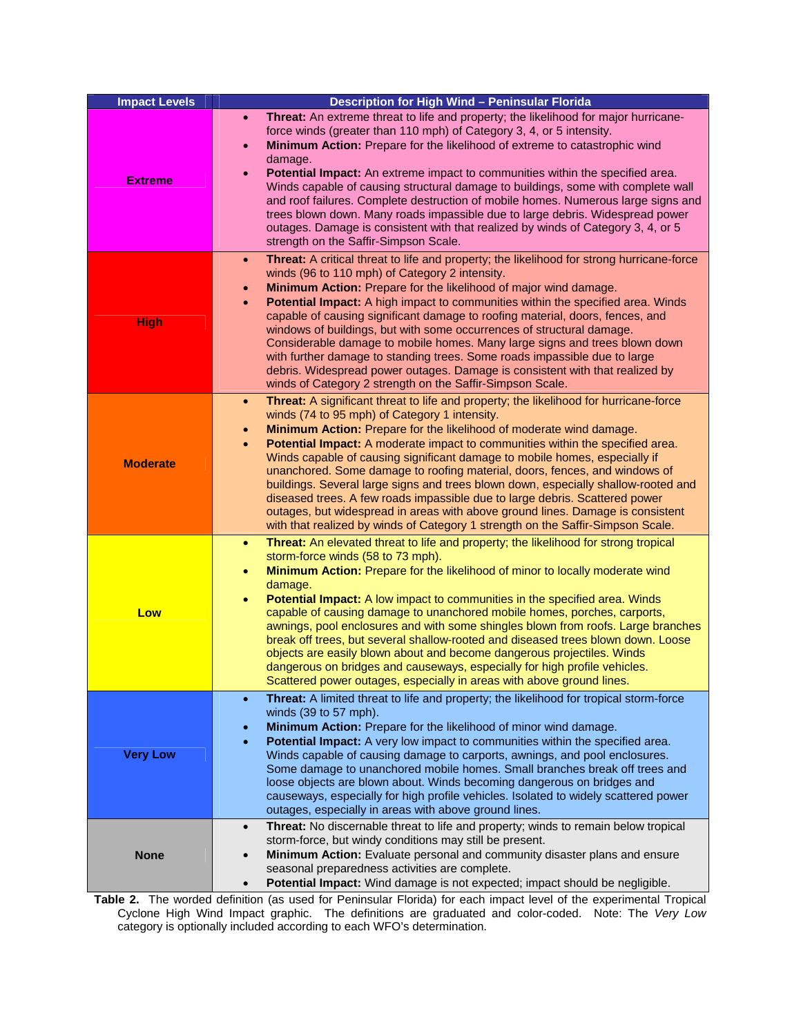| <b>Impact Levels</b> | Description for High Wind - Peninsular Florida                                                                                                                                                                                                                                                                                                                                                                                                                                                                                                                                                                                                                                                                                                                                                                                              |
|----------------------|---------------------------------------------------------------------------------------------------------------------------------------------------------------------------------------------------------------------------------------------------------------------------------------------------------------------------------------------------------------------------------------------------------------------------------------------------------------------------------------------------------------------------------------------------------------------------------------------------------------------------------------------------------------------------------------------------------------------------------------------------------------------------------------------------------------------------------------------|
| <b>Extreme</b>       | Threat: An extreme threat to life and property; the likelihood for major hurricane-<br>$\bullet$<br>force winds (greater than 110 mph) of Category 3, 4, or 5 intensity.<br>Minimum Action: Prepare for the likelihood of extreme to catastrophic wind<br>$\bullet$<br>damage.<br>Potential Impact: An extreme impact to communities within the specified area.<br>$\bullet$<br>Winds capable of causing structural damage to buildings, some with complete wall<br>and roof failures. Complete destruction of mobile homes. Numerous large signs and<br>trees blown down. Many roads impassible due to large debris. Widespread power<br>outages. Damage is consistent with that realized by winds of Category 3, 4, or 5<br>strength on the Saffir-Simpson Scale.                                                                         |
| <b>High</b>          | Threat: A critical threat to life and property; the likelihood for strong hurricane-force<br>$\bullet$<br>winds (96 to 110 mph) of Category 2 intensity.<br>Minimum Action: Prepare for the likelihood of major wind damage.<br>$\bullet$<br>Potential Impact: A high impact to communities within the specified area. Winds<br>capable of causing significant damage to roofing material, doors, fences, and<br>windows of buildings, but with some occurrences of structural damage.<br>Considerable damage to mobile homes. Many large signs and trees blown down<br>with further damage to standing trees. Some roads impassible due to large<br>debris. Widespread power outages. Damage is consistent with that realized by<br>winds of Category 2 strength on the Saffir-Simpson Scale.                                              |
| <b>Moderate</b>      | Threat: A significant threat to life and property; the likelihood for hurricane-force<br>$\bullet$<br>winds (74 to 95 mph) of Category 1 intensity.<br>Minimum Action: Prepare for the likelihood of moderate wind damage.<br>$\bullet$<br>Potential Impact: A moderate impact to communities within the specified area.<br>$\bullet$<br>Winds capable of causing significant damage to mobile homes, especially if<br>unanchored. Some damage to roofing material, doors, fences, and windows of<br>buildings. Several large signs and trees blown down, especially shallow-rooted and<br>diseased trees. A few roads impassible due to large debris. Scattered power<br>outages, but widespread in areas with above ground lines. Damage is consistent<br>with that realized by winds of Category 1 strength on the Saffir-Simpson Scale. |
| Low                  | Threat: An elevated threat to life and property; the likelihood for strong tropical<br>$\bullet$<br>storm-force winds (58 to 73 mph).<br>Minimum Action: Prepare for the likelihood of minor to locally moderate wind<br>$\bullet$<br>damage.<br>Potential Impact: A low impact to communities in the specified area. Winds<br>$\bullet$<br>capable of causing damage to unanchored mobile homes, porches, carports,<br>awnings, pool enclosures and with some shingles blown from roofs. Large branches<br>break off trees, but several shallow-rooted and diseased trees blown down. Loose<br>objects are easily blown about and become dangerous projectiles. Winds<br>dangerous on bridges and causeways, especially for high profile vehicles.<br>Scattered power outages, especially in areas with above ground lines.                |
| <b>Very Low</b>      | Threat: A limited threat to life and property; the likelihood for tropical storm-force<br>$\bullet$<br>winds (39 to 57 mph).<br>Minimum Action: Prepare for the likelihood of minor wind damage.<br>$\bullet$<br>Potential Impact: A very low impact to communities within the specified area.<br>$\bullet$<br>Winds capable of causing damage to carports, awnings, and pool enclosures.<br>Some damage to unanchored mobile homes. Small branches break off trees and<br>loose objects are blown about. Winds becoming dangerous on bridges and<br>causeways, especially for high profile vehicles. Isolated to widely scattered power<br>outages, especially in areas with above ground lines.                                                                                                                                           |
| <b>None</b>          | Threat: No discernable threat to life and property; winds to remain below tropical<br>$\bullet$<br>storm-force, but windy conditions may still be present.<br>Minimum Action: Evaluate personal and community disaster plans and ensure<br>$\bullet$<br>seasonal preparedness activities are complete.<br>Potential Impact: Wind damage is not expected; impact should be negligible.<br>$\bullet$                                                                                                                                                                                                                                                                                                                                                                                                                                          |

**Table 2.** The worded definition (as used for Peninsular Florida) for each impact level of the experimental Tropical Cyclone High Wind Impact graphic. The definitions are graduated and color-coded. Note: The *Very Low* category is optionally included according to each WFO's determination.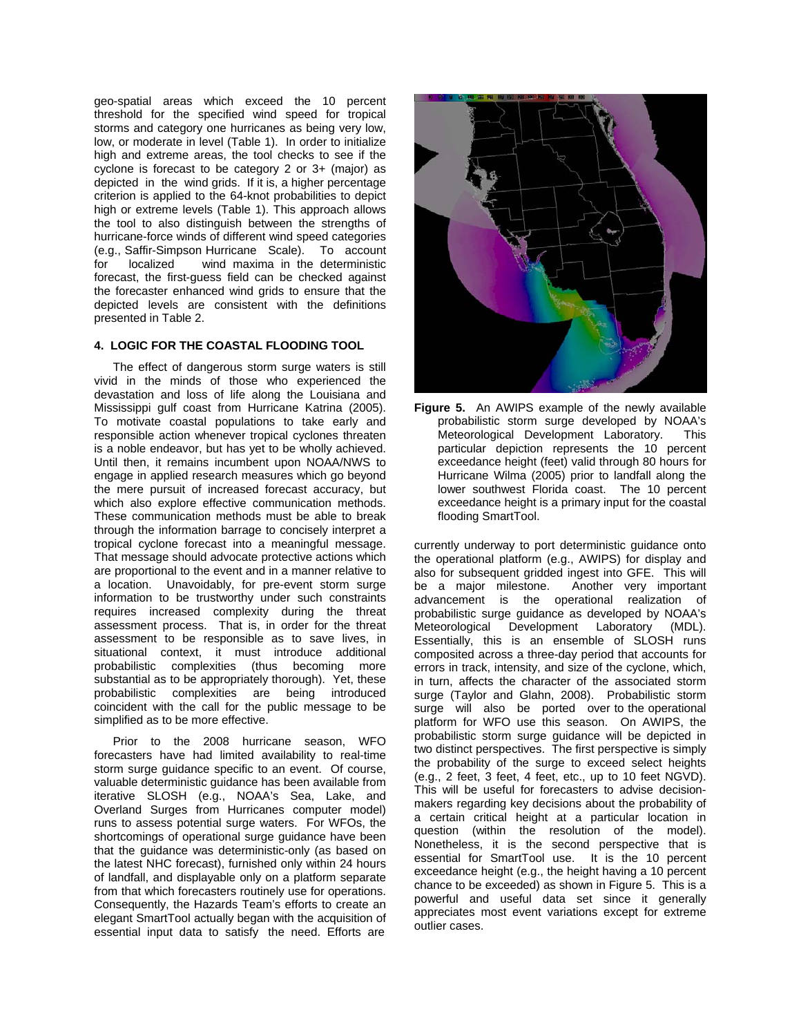geo-spatial areas which exceed the 10 percent threshold for the specified wind speed for tropical storms and category one hurricanes as being very low, low, or moderate in level (Table 1). In order to initialize high and extreme areas, the tool checks to see if the cyclone is forecast to be category 2 or 3+ (major) as depicted in the wind grids. If it is, a higher percentage criterion is applied to the 64-knot probabilities to depict high or extreme levels (Table 1). This approach allows the tool to also distinguish between the strengths of hurricane-force winds of different wind speed categories (e.g., Saffir-Simpson Hurricane Scale). To account for localized wind maxima in the deterministic forecast, the first-guess field can be checked against the forecaster enhanced wind grids to ensure that the depicted levels are consistent with the definitions presented in Table 2.

# **4. LOGIC FOR THE COASTAL FLOODING TOOL**

 The effect of dangerous storm surge waters is still vivid in the minds of those who experienced the devastation and loss of life along the Louisiana and Mississippi gulf coast from Hurricane Katrina (2005). To motivate coastal populations to take early and responsible action whenever tropical cyclones threaten is a noble endeavor, but has yet to be wholly achieved. Until then, it remains incumbent upon NOAA/NWS to engage in applied research measures which go beyond the mere pursuit of increased forecast accuracy, but which also explore effective communication methods. These communication methods must be able to break through the information barrage to concisely interpret a tropical cyclone forecast into a meaningful message. That message should advocate protective actions which are proportional to the event and in a manner relative to a location. Unavoidably, for pre-event storm surge information to be trustworthy under such constraints requires increased complexity during the threat assessment process. That is, in order for the threat assessment to be responsible as to save lives, in situational context, it must introduce additional probabilistic complexities (thus becoming more substantial as to be appropriately thorough). Yet, these probabilistic complexities are being introduced coincident with the call for the public message to be simplified as to be more effective.

 Prior to the 2008 hurricane season, WFO forecasters have had limited availability to real-time storm surge guidance specific to an event. Of course, valuable deterministic guidance has been available from iterative SLOSH (e.g., NOAA's Sea, Lake, and Overland Surges from Hurricanes computer model) runs to assess potential surge waters. For WFOs, the shortcomings of operational surge guidance have been that the guidance was deterministic-only (as based on the latest NHC forecast), furnished only within 24 hours of landfall, and displayable only on a platform separate from that which forecasters routinely use for operations. Consequently, the Hazards Team's efforts to create an elegant SmartTool actually began with the acquisition of essential input data to satisfy the need. Efforts are





currently underway to port deterministic guidance onto the operational platform (e.g., AWIPS) for display and also for subsequent gridded ingest into GFE. This will be a major milestone. Another very important advancement is the operational realization of probabilistic surge guidance as developed by NOAA's Meteorological Development Laboratory (MDL). Essentially, this is an ensemble of SLOSH runs composited across a three-day period that accounts for errors in track, intensity, and size of the cyclone, which, in turn, affects the character of the associated storm surge (Taylor and Glahn, 2008). Probabilistic storm surge will also be ported over to the operational platform for WFO use this season. On AWIPS, the probabilistic storm surge guidance will be depicted in two distinct perspectives. The first perspective is simply the probability of the surge to exceed select heights (e.g., 2 feet, 3 feet, 4 feet, etc., up to 10 feet NGVD). This will be useful for forecasters to advise decisionmakers regarding key decisions about the probability of a certain critical height at a particular location in question (within the resolution of the model). Nonetheless, it is the second perspective that is essential for SmartTool use. It is the 10 percent exceedance height (e.g., the height having a 10 percent chance to be exceeded) as shown in Figure 5. This is a powerful and useful data set since it generally appreciates most event variations except for extreme outlier cases.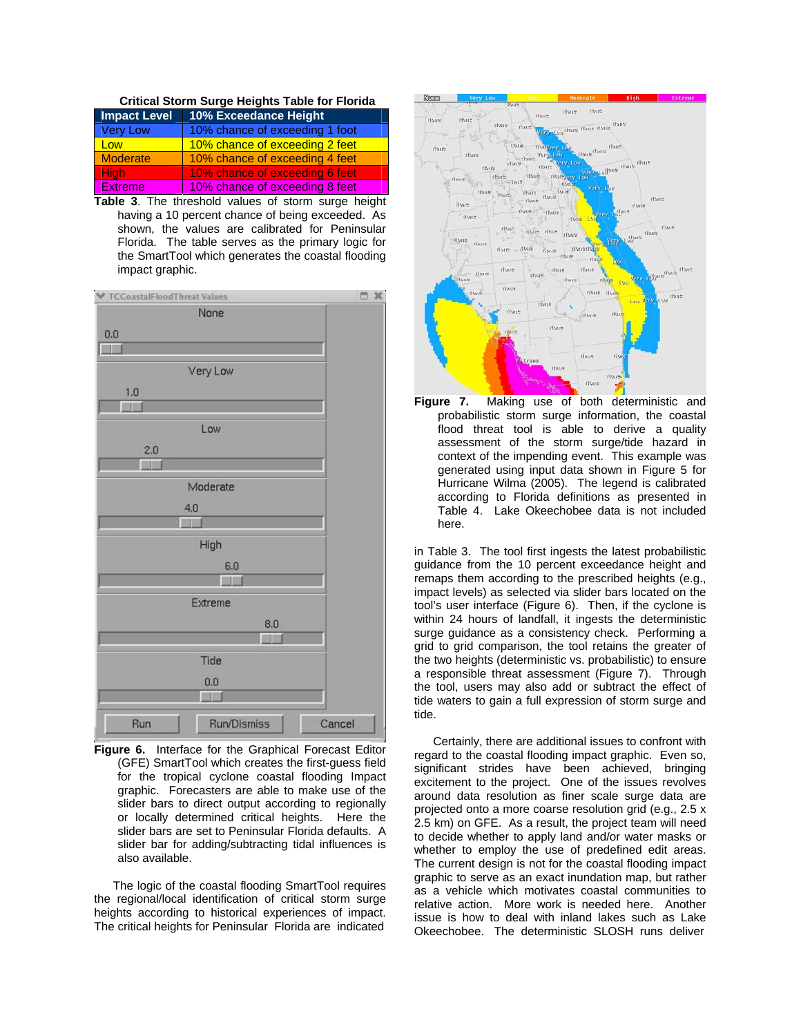#### **Critical Storm Surge Heights Table for Florida**

| <b>Impact Level</b> | 10% Exceedance Height          |  |
|---------------------|--------------------------------|--|
| Very Low            | 10% chance of exceeding 1 foot |  |
| Low                 | 10% chance of exceeding 2 feet |  |
| Moderate            | 10% chance of exceeding 4 feet |  |
| <b>High</b>         | 10% chance of exceeding 6 feet |  |
| <b>Extreme</b>      | 10% chance of exceeding 8 feet |  |

**Table 3**. The threshold values of storm surge height having a 10 percent chance of being exceeded. As shown, the values are calibrated for Peninsular Florida. The table serves as the primary logic for the SmartTool which generates the coastal flooding impact graphic.



**Figure 6.** Interface for the Graphical Forecast Editor (GFE) SmartTool which creates the first-guess field for the tropical cyclone coastal flooding Impact graphic. Forecasters are able to make use of the slider bars to direct output according to regionally or locally determined critical heights. Here the slider bars are set to Peninsular Florida defaults. A slider bar for adding/subtracting tidal influences is also available.

The logic of the coastal flooding SmartTool requires the regional/local identification of critical storm surge heights according to historical experiences of impact. The critical heights for Peninsular Florida are indicated



**Figure 7.** Making use of both deterministic and probabilistic storm surge information, the coastal flood threat tool is able to derive a quality assessment of the storm surge/tide hazard in context of the impending event. This example was generated using input data shown in Figure 5 for Hurricane Wilma (2005). The legend is calibrated according to Florida definitions as presented in Table 4. Lake Okeechobee data is not included here.

in Table 3. The tool first ingests the latest probabilistic guidance from the 10 percent exceedance height and remaps them according to the prescribed heights (e.g., impact levels) as selected via slider bars located on the tool's user interface (Figure 6). Then, if the cyclone is within 24 hours of landfall, it ingests the deterministic surge guidance as a consistency check. Performing a grid to grid comparison, the tool retains the greater of the two heights (deterministic vs. probabilistic) to ensure a responsible threat assessment (Figure 7). Through the tool, users may also add or subtract the effect of tide waters to gain a full expression of storm surge and tide.

Certainly, there are additional issues to confront with regard to the coastal flooding impact graphic. Even so, significant strides have been achieved, bringing excitement to the project. One of the issues revolves around data resolution as finer scale surge data are projected onto a more coarse resolution grid (e.g., 2.5 x 2.5 km) on GFE. As a result, the project team will need to decide whether to apply land and/or water masks or whether to employ the use of predefined edit areas. The current design is not for the coastal flooding impact graphic to serve as an exact inundation map, but rather as a vehicle which motivates coastal communities to relative action. More work is needed here. Another issue is how to deal with inland lakes such as Lake Okeechobee. The deterministic SLOSH runs deliver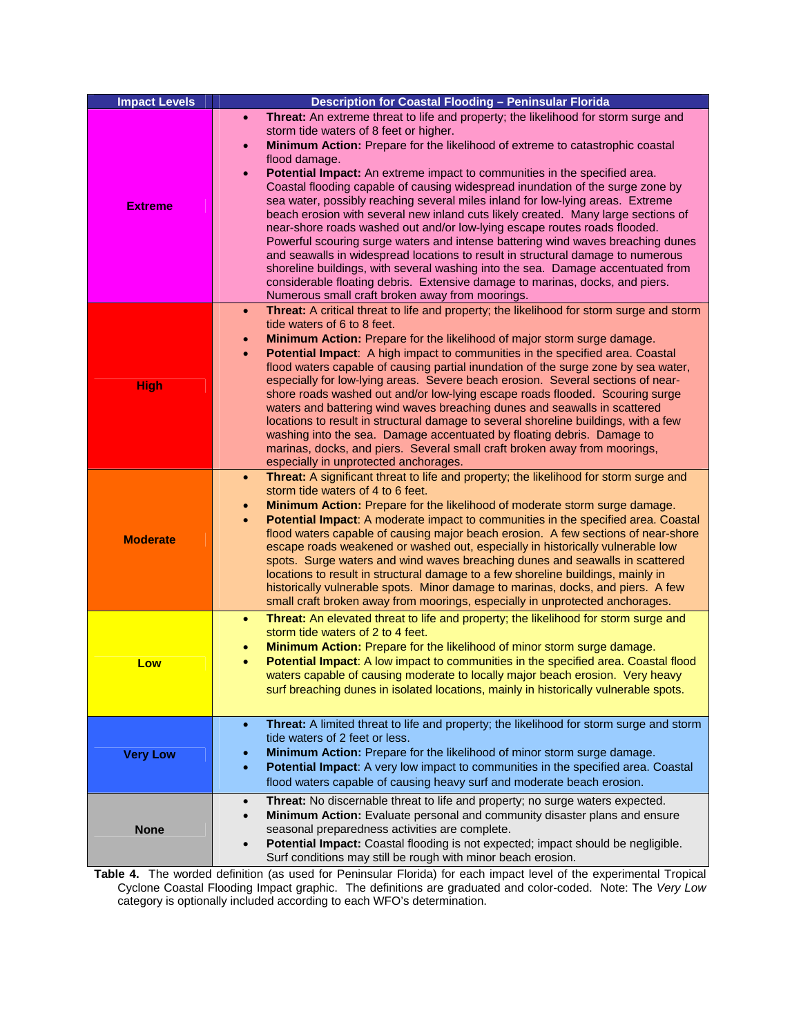| <b>Impact Levels</b> | Description for Coastal Flooding - Peninsular Florida                                                                                                                                                                                                                                                                                                                                                                                                                                                                                                                                                                                                                                                                                                                                                                                                                                                                                                                                                                                                                                |  |  |
|----------------------|--------------------------------------------------------------------------------------------------------------------------------------------------------------------------------------------------------------------------------------------------------------------------------------------------------------------------------------------------------------------------------------------------------------------------------------------------------------------------------------------------------------------------------------------------------------------------------------------------------------------------------------------------------------------------------------------------------------------------------------------------------------------------------------------------------------------------------------------------------------------------------------------------------------------------------------------------------------------------------------------------------------------------------------------------------------------------------------|--|--|
| <b>Extreme</b>       | Threat: An extreme threat to life and property; the likelihood for storm surge and<br>$\bullet$<br>storm tide waters of 8 feet or higher.<br>Minimum Action: Prepare for the likelihood of extreme to catastrophic coastal<br>$\bullet$<br>flood damage.<br>Potential Impact: An extreme impact to communities in the specified area.<br>$\bullet$<br>Coastal flooding capable of causing widespread inundation of the surge zone by<br>sea water, possibly reaching several miles inland for low-lying areas. Extreme<br>beach erosion with several new inland cuts likely created. Many large sections of<br>near-shore roads washed out and/or low-lying escape routes roads flooded.<br>Powerful scouring surge waters and intense battering wind waves breaching dunes<br>and seawalls in widespread locations to result in structural damage to numerous<br>shoreline buildings, with several washing into the sea. Damage accentuated from<br>considerable floating debris. Extensive damage to marinas, docks, and piers.<br>Numerous small craft broken away from moorings. |  |  |
| <b>High</b>          | Threat: A critical threat to life and property; the likelihood for storm surge and storm<br>$\bullet$<br>tide waters of 6 to 8 feet.<br>Minimum Action: Prepare for the likelihood of major storm surge damage.<br>$\bullet$<br>Potential Impact: A high impact to communities in the specified area. Coastal<br>$\bullet$<br>flood waters capable of causing partial inundation of the surge zone by sea water,<br>especially for low-lying areas. Severe beach erosion. Several sections of near-<br>shore roads washed out and/or low-lying escape roads flooded. Scouring surge<br>waters and battering wind waves breaching dunes and seawalls in scattered<br>locations to result in structural damage to several shoreline buildings, with a few<br>washing into the sea. Damage accentuated by floating debris. Damage to<br>marinas, docks, and piers. Several small craft broken away from moorings,<br>especially in unprotected anchorages.                                                                                                                              |  |  |
| <b>Moderate</b>      | Threat: A significant threat to life and property; the likelihood for storm surge and<br>$\bullet$<br>storm tide waters of 4 to 6 feet.<br>Minimum Action: Prepare for the likelihood of moderate storm surge damage.<br>$\bullet$<br>Potential Impact: A moderate impact to communities in the specified area. Coastal<br>$\bullet$<br>flood waters capable of causing major beach erosion. A few sections of near-shore<br>escape roads weakened or washed out, especially in historically vulnerable low<br>spots. Surge waters and wind waves breaching dunes and seawalls in scattered<br>locations to result in structural damage to a few shoreline buildings, mainly in<br>historically vulnerable spots. Minor damage to marinas, docks, and piers. A few<br>small craft broken away from moorings, especially in unprotected anchorages.                                                                                                                                                                                                                                   |  |  |
| Low                  | Threat: An elevated threat to life and property; the likelihood for storm surge and<br>$\bullet$<br>storm tide waters of 2 to 4 feet.<br>Minimum Action: Prepare for the likelihood of minor storm surge damage.<br>$\bullet$<br>Potential Impact: A low impact to communities in the specified area. Coastal flood<br>$\bullet$<br>waters capable of causing moderate to locally major beach erosion. Very heavy<br>surf breaching dunes in isolated locations, mainly in historically vulnerable spots.                                                                                                                                                                                                                                                                                                                                                                                                                                                                                                                                                                            |  |  |
| <b>Very Low</b>      | Threat: A limited threat to life and property; the likelihood for storm surge and storm<br>$\bullet$<br>tide waters of 2 feet or less.<br>Minimum Action: Prepare for the likelihood of minor storm surge damage.<br>Potential Impact: A very low impact to communities in the specified area. Coastal<br>$\bullet$<br>flood waters capable of causing heavy surf and moderate beach erosion.                                                                                                                                                                                                                                                                                                                                                                                                                                                                                                                                                                                                                                                                                        |  |  |
| <b>None</b>          | Threat: No discernable threat to life and property; no surge waters expected.<br>$\bullet$<br>Minimum Action: Evaluate personal and community disaster plans and ensure<br>$\bullet$<br>seasonal preparedness activities are complete.<br>Potential Impact: Coastal flooding is not expected; impact should be negligible.<br>$\bullet$<br>Surf conditions may still be rough with minor beach erosion.                                                                                                                                                                                                                                                                                                                                                                                                                                                                                                                                                                                                                                                                              |  |  |

**Table 4.** The worded definition (as used for Peninsular Florida) for each impact level of the experimental Tropical Cyclone Coastal Flooding Impact graphic. The definitions are graduated and color-coded. Note: The *Very Low* category is optionally included according to each WFO's determination.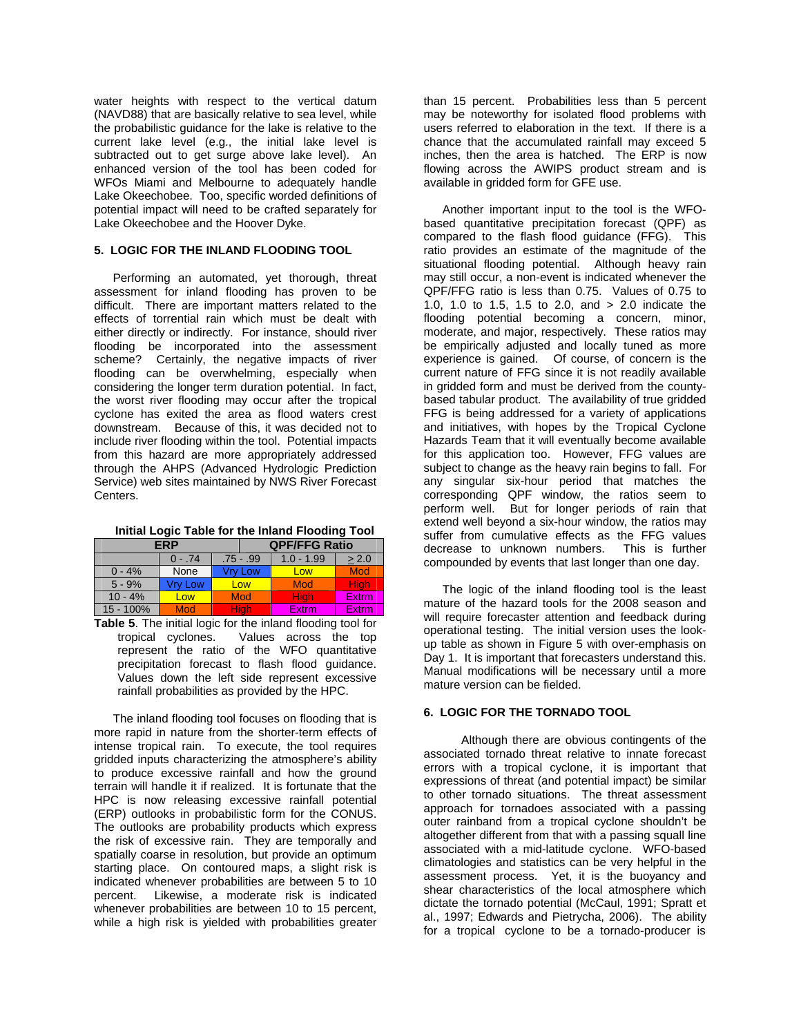water heights with respect to the vertical datum (NAVD88) that are basically relative to sea level, while the probabilistic guidance for the lake is relative to the current lake level (e.g., the initial lake level is subtracted out to get surge above lake level). An enhanced version of the tool has been coded for WFOs Miami and Melbourne to adequately handle Lake Okeechobee. Too, specific worded definitions of potential impact will need to be crafted separately for Lake Okeechobee and the Hoover Dyke.

### **5. LOGIC FOR THE INLAND FLOODING TOOL**

 Performing an automated, yet thorough, threat assessment for inland flooding has proven to be difficult. There are important matters related to the effects of torrential rain which must be dealt with either directly or indirectly. For instance, should river flooding be incorporated into the assessment scheme? Certainly, the negative impacts of river flooding can be overwhelming, especially when considering the longer term duration potential. In fact, the worst river flooding may occur after the tropical cyclone has exited the area as flood waters crest downstream. Because of this, it was decided not to include river flooding within the tool. Potential impacts from this hazard are more appropriately addressed through the AHPS (Advanced Hydrologic Prediction Service) web sites maintained by NWS River Forecast Centers.

| FRP       |          |             | <b>QPF/FFG Ratio</b> |              |            |
|-----------|----------|-------------|----------------------|--------------|------------|
|           | $0 - 74$ | $.75 - .99$ |                      | $1.0 - 1.99$ | > 2.0      |
| $0 - 4%$  | None     | Vrv Low     |                      | Low          | <b>Mod</b> |
| $5 - 9%$  | 'rv Low  |             | Low                  | Mod          | Hiah       |
| $10 - 4%$ | Low      |             | <b>Mod</b>           | <b>High</b>  | Extrm      |
| 15 - 100% | Mod      |             | Hiah                 | Extrm        | Extrm      |

**Table 5**. The initial logic for the inland flooding tool for tropical cyclones. Values across the top represent the ratio of the WFO quantitative precipitation forecast to flash flood guidance. Values down the left side represent excessive rainfall probabilities as provided by the HPC.

The inland flooding tool focuses on flooding that is more rapid in nature from the shorter-term effects of intense tropical rain. To execute, the tool requires gridded inputs characterizing the atmosphere's ability to produce excessive rainfall and how the ground terrain will handle it if realized. It is fortunate that the HPC is now releasing excessive rainfall potential (ERP) outlooks in probabilistic form for the CONUS. The outlooks are probability products which express the risk of excessive rain. They are temporally and spatially coarse in resolution, but provide an optimum starting place. On contoured maps, a slight risk is indicated whenever probabilities are between 5 to 10 percent. Likewise, a moderate risk is indicated whenever probabilities are between 10 to 15 percent, while a high risk is yielded with probabilities greater

than 15 percent. Probabilities less than 5 percent may be noteworthy for isolated flood problems with users referred to elaboration in the text. If there is a chance that the accumulated rainfall may exceed 5 inches, then the area is hatched. The ERP is now flowing across the AWIPS product stream and is available in gridded form for GFE use.

Another important input to the tool is the WFObased quantitative precipitation forecast (QPF) as compared to the flash flood guidance (FFG). This ratio provides an estimate of the magnitude of the situational flooding potential. Although heavy rain may still occur, a non-event is indicated whenever the QPF/FFG ratio is less than 0.75. Values of 0.75 to 1.0, 1.0 to 1.5, 1.5 to 2.0, and > 2.0 indicate the flooding potential becoming a concern, minor, moderate, and major, respectively. These ratios may be empirically adjusted and locally tuned as more experience is gained. Of course, of concern is the current nature of FFG since it is not readily available in gridded form and must be derived from the countybased tabular product. The availability of true gridded FFG is being addressed for a variety of applications and initiatives, with hopes by the Tropical Cyclone Hazards Team that it will eventually become available for this application too. However, FFG values are subject to change as the heavy rain begins to fall. For any singular six-hour period that matches the corresponding QPF window, the ratios seem to perform well. But for longer periods of rain that extend well beyond a six-hour window, the ratios may suffer from cumulative effects as the FFG values decrease to unknown numbers. This is further compounded by events that last longer than one day.

The logic of the inland flooding tool is the least mature of the hazard tools for the 2008 season and will require forecaster attention and feedback during operational testing. The initial version uses the lookup table as shown in Figure 5 with over-emphasis on Day 1. It is important that forecasters understand this. Manual modifications will be necessary until a more mature version can be fielded.

# **6. LOGIC FOR THE TORNADO TOOL**

 Although there are obvious contingents of the associated tornado threat relative to innate forecast errors with a tropical cyclone, it is important that expressions of threat (and potential impact) be similar to other tornado situations. The threat assessment approach for tornadoes associated with a passing outer rainband from a tropical cyclone shouldn't be altogether different from that with a passing squall line associated with a mid-latitude cyclone. WFO-based climatologies and statistics can be very helpful in the assessment process. Yet, it is the buoyancy and shear characteristics of the local atmosphere which dictate the tornado potential (McCaul, 1991; Spratt et al., 1997; Edwards and Pietrycha, 2006). The ability for a tropical cyclone to be a tornado-producer is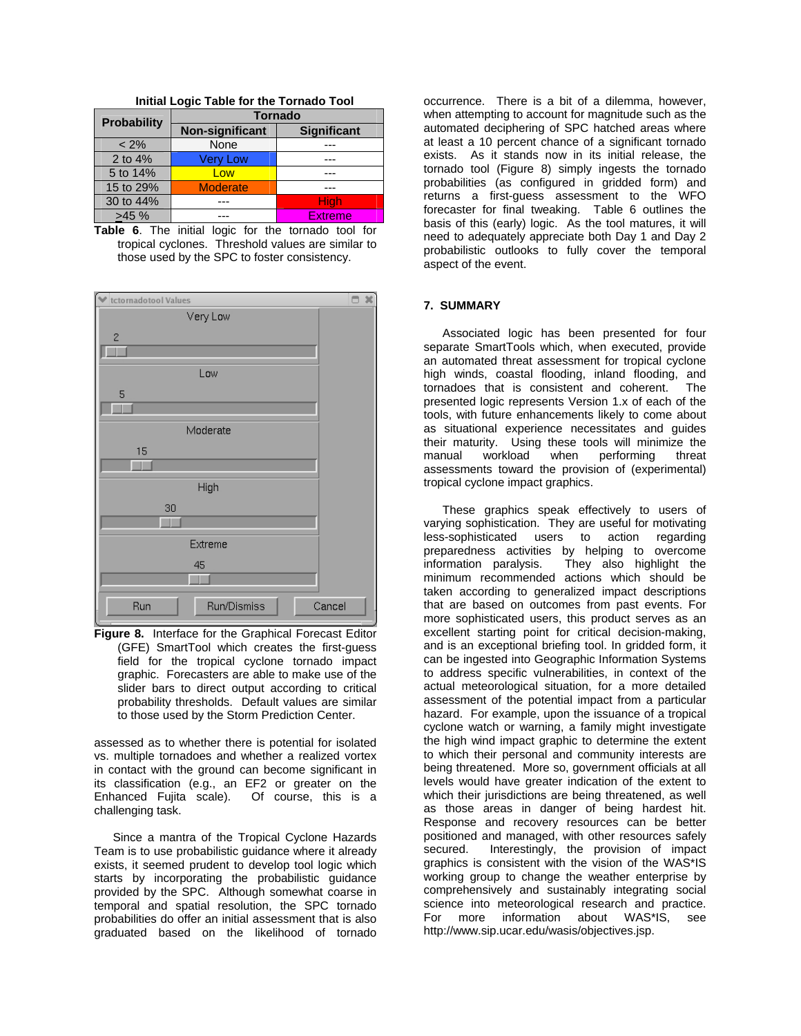| <b>Probability</b> | <b>Tornado</b>  |                    |  |
|--------------------|-----------------|--------------------|--|
|                    | Non-significant | <b>Significant</b> |  |
| $< 2\%$            | None            |                    |  |
| 2 to $4%$          | <b>Very Low</b> |                    |  |
| 5 to 14%           | Low             |                    |  |
| 15 to 29%          | <b>Moderate</b> |                    |  |
| 30 to 44%          |                 | <b>High</b>        |  |
| >45%               |                 | <b>Extreme</b>     |  |

**Initial Logic Table for the Tornado Tool** 

**Table 6**. The initial logic for the tornado tool for tropical cyclones. Threshold values are similar to those used by the SPC to foster consistency.



**Figure 8.** Interface for the Graphical Forecast Editor (GFE) SmartTool which creates the first-guess field for the tropical cyclone tornado impact graphic. Forecasters are able to make use of the slider bars to direct output according to critical probability thresholds. Default values are similar to those used by the Storm Prediction Center.

assessed as to whether there is potential for isolated vs. multiple tornadoes and whether a realized vortex in contact with the ground can become significant in its classification (e.g., an EF2 or greater on the Enhanced Fujita scale). Of course, this is a challenging task.

Since a mantra of the Tropical Cyclone Hazards Team is to use probabilistic guidance where it already exists, it seemed prudent to develop tool logic which starts by incorporating the probabilistic guidance provided by the SPC. Although somewhat coarse in temporal and spatial resolution, the SPC tornado probabilities do offer an initial assessment that is also graduated based on the likelihood of tornado

occurrence. There is a bit of a dilemma, however, when attempting to account for magnitude such as the automated deciphering of SPC hatched areas where at least a 10 percent chance of a significant tornado exists. As it stands now in its initial release, the tornado tool (Figure 8) simply ingests the tornado probabilities (as configured in gridded form) and returns a first-guess assessment to the WFO forecaster for final tweaking. Table 6 outlines the basis of this (early) logic. As the tool matures, it will need to adequately appreciate both Day 1 and Day 2 probabilistic outlooks to fully cover the temporal aspect of the event.

#### **7. SUMMARY**

Associated logic has been presented for four separate SmartTools which, when executed, provide an automated threat assessment for tropical cyclone high winds, coastal flooding, inland flooding, and tornadoes that is consistent and coherent. The presented logic represents Version 1.x of each of the tools, with future enhancements likely to come about as situational experience necessitates and guides their maturity. Using these tools will minimize the manual workload when performing threat assessments toward the provision of (experimental) tropical cyclone impact graphics.

These graphics speak effectively to users of varying sophistication. They are useful for motivating less-sophisticated users to action regarding preparedness activities by helping to overcome information paralysis. They also highlight the minimum recommended actions which should be taken according to generalized impact descriptions that are based on outcomes from past events. For more sophisticated users, this product serves as an excellent starting point for critical decision-making, and is an exceptional briefing tool. In gridded form, it can be ingested into Geographic Information Systems to address specific vulnerabilities, in context of the actual meteorological situation, for a more detailed assessment of the potential impact from a particular hazard. For example, upon the issuance of a tropical cyclone watch or warning, a family might investigate the high wind impact graphic to determine the extent to which their personal and community interests are being threatened. More so, government officials at all levels would have greater indication of the extent to which their jurisdictions are being threatened, as well as those areas in danger of being hardest hit. Response and recovery resources can be better positioned and managed, with other resources safely secured. Interestingly, the provision of impact graphics is consistent with the vision of the WAS\*IS working group to change the weather enterprise by comprehensively and sustainably integrating social science into meteorological research and practice. For more information about WAS\*IS, see http://www.sip.ucar.edu/wasis/objectives.jsp.